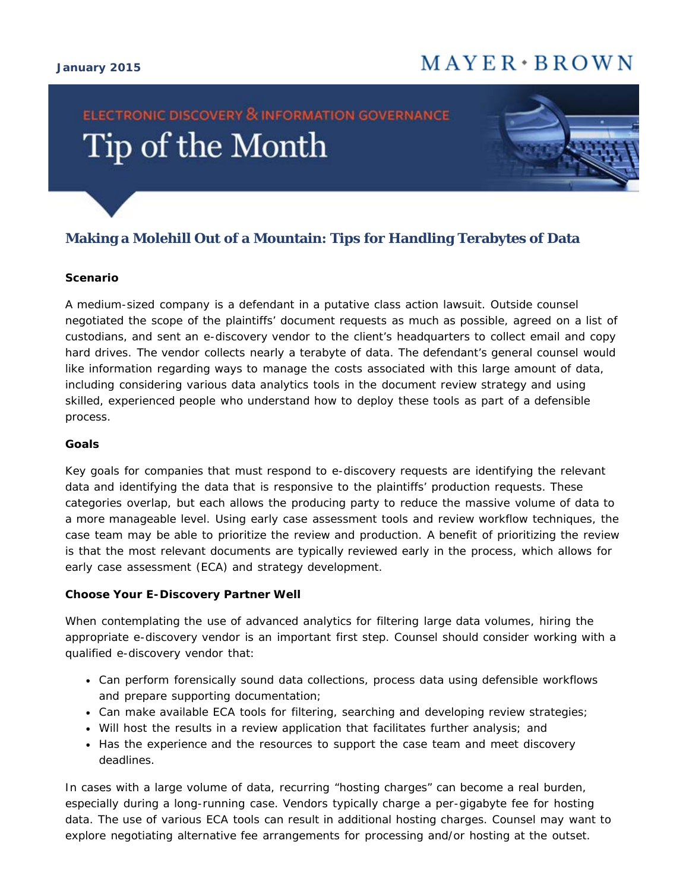#### **January 2015**

## $M$  A Y E R  $\cdot$  B R O W N

# **ELECTRONIC DISCOVERY & INFORMATION GOVERNANCE** Tip of the Month



### **Making a Molehill Out of a Mountain: Tips for Handling Terabytes of Data**

#### **Scenario**

A medium-sized company is a defendant in a putative class action lawsuit. Outside counsel negotiated the scope of the plaintiffs' document requests as much as possible, agreed on a list of custodians, and sent an e-discovery vendor to the client's headquarters to collect email and copy hard drives. The vendor collects nearly a *terabyte* of data. The defendant's general counsel would like information regarding ways to manage the costs associated with this large amount of data, including considering various data analytics tools in the document review strategy and using skilled, experienced people who understand how to deploy these tools as part of a defensible process.

#### **Goals**

Key goals for companies that must respond to e-discovery requests are identifying the relevant data and identifying the data that is responsive to the plaintiffs' production requests. These categories overlap, but each allows the producing party to reduce the massive volume of data to a more manageable level. Using early case assessment tools and review workflow techniques, the case team may be able to prioritize the review and production. A benefit of prioritizing the review is that the most relevant documents are typically reviewed early in the process, which allows for early case assessment (ECA) and strategy development.

#### **Choose Your E-Discovery Partner Well**

When contemplating the use of advanced analytics for filtering large data volumes, hiring the appropriate e-discovery vendor is an important first step. Counsel should consider working with a qualified e-discovery vendor that:

- Can perform forensically sound data collections, process data using defensible workflows and prepare supporting documentation;
- Can make available ECA tools for filtering, searching and developing review strategies;
- Will host the results in a review application that facilitates further analysis; and
- Has the experience and the resources to support the case team and meet discovery deadlines.

In cases with a large volume of data, recurring "hosting charges" can become a real burden, especially during a long-running case. Vendors typically charge a per-gigabyte fee for hosting data. The use of various ECA tools can result in additional hosting charges. Counsel may want to explore negotiating alternative fee arrangements for processing and/or hosting at the outset.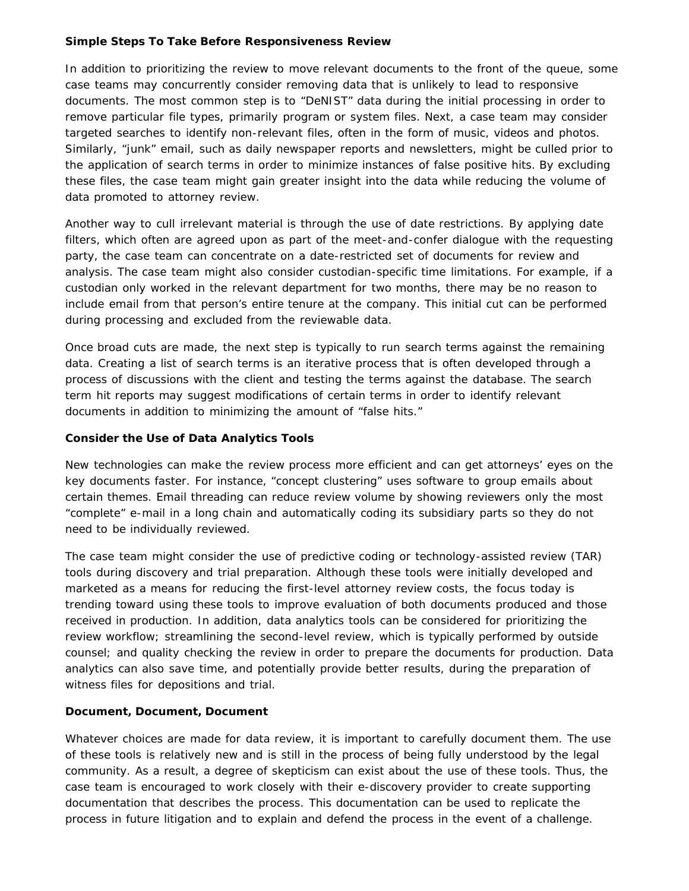#### **Simple Steps To Take Before Responsiveness Review**

In addition to prioritizing the review to move relevant documents to the front of the queue, some case teams may concurrently consider removing data that is unlikely to lead to responsive documents. The most common step is to "DeNIST" data during the initial processing in order to remove particular file types, primarily program or system files. Next, a case team may consider targeted searches to identify non-relevant files, often in the form of music, videos and photos. Similarly, "junk" email, such as daily newspaper reports and newsletters, might be culled prior to the application of search terms in order to minimize instances of false positive hits. By excluding these files, the case team might gain greater insight into the data while reducing the volume of data promoted to attorney review.

Another way to cull irrelevant material is through the use of date restrictions. By applying date filters, which often are agreed upon as part of the meet-and-confer dialogue with the requesting party, the case team can concentrate on a date-restricted set of documents for review and analysis. The case team might also consider custodian-specific time limitations. For example, if a custodian only worked in the relevant department for two months, there may be no reason to include email from that person's entire tenure at the company. This initial cut can be performed during processing and excluded from the reviewable data.

Once broad cuts are made, the next step is typically to run search terms against the remaining data. Creating a list of search terms is an iterative process that is often developed through a process of discussions with the client and testing the terms against the database. The search term hit reports may suggest modifications of certain terms in order to identify relevant documents in addition to minimizing the amount of "false hits."

#### **Consider the Use of Data Analytics Tools**

New technologies can make the review process more efficient and can get attorneys' eyes on the key documents faster. For instance, "concept clustering" uses software to group emails about certain themes. Email threading can reduce review volume by showing reviewers only the most "complete" e-mail in a long chain and automatically coding its subsidiary parts so they do not need to be individually reviewed.

The case team might consider the use of predictive coding or technology-assisted review (TAR) tools during discovery and trial preparation. Although these tools were initially developed and marketed as a means for reducing the first-level attorney review costs, the focus today is trending toward using these tools to improve evaluation of both documents produced and those received in production. In addition, data analytics tools can be considered for prioritizing the review workflow; streamlining the second-level review, which is typically performed by outside counsel; and quality checking the review in order to prepare the documents for production. Data analytics can also save time, and potentially provide better results, during the preparation of witness files for depositions and trial.

#### **Document, Document, Document**

Whatever choices are made for data review, it is important to carefully document them. The use of these tools is relatively new and is still in the process of being fully understood by the legal community. As a result, a degree of skepticism can exist about the use of these tools. Thus, the case team is encouraged to work closely with their e-discovery provider to create supporting documentation that describes the process. This documentation can be used to replicate the process in future litigation and to explain and defend the process in the event of a challenge.